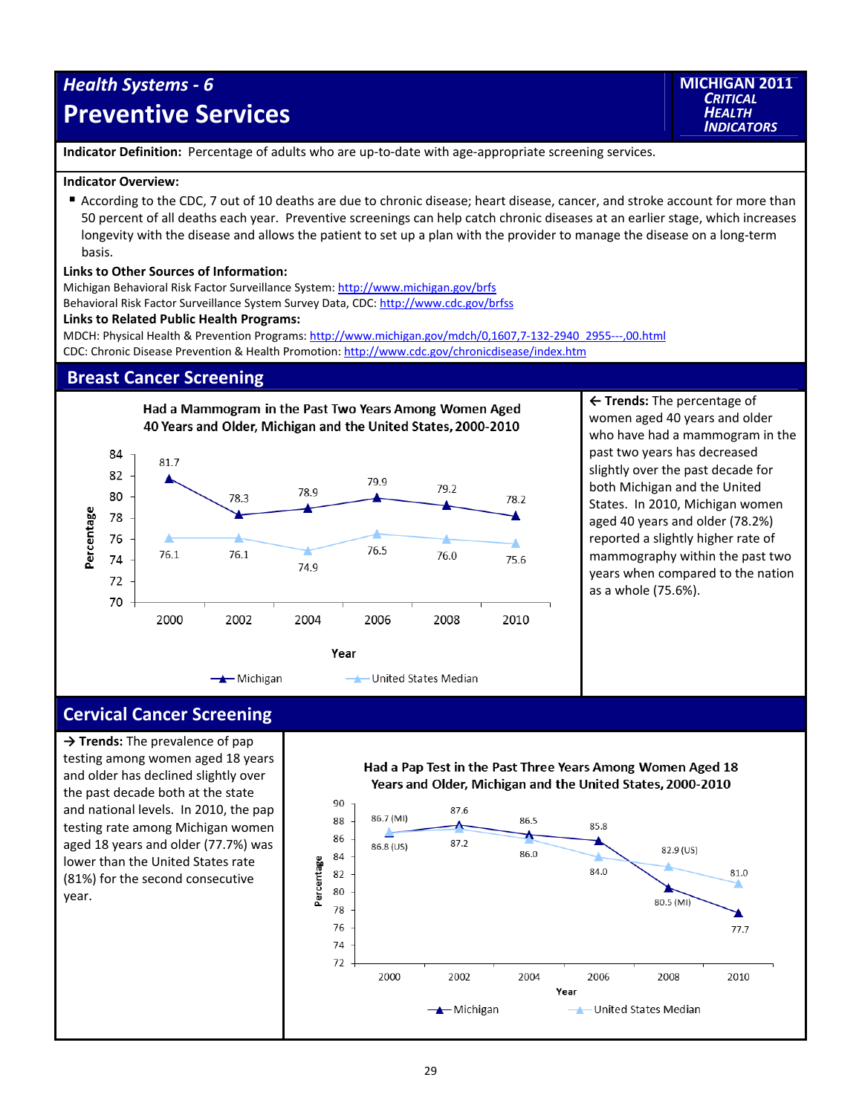# *Health Systems ‐ 6* **Preventive Services**

**MICHIGAN 2011** *CRITICAL HEALTH INDICATORS*

**Indicator Definition:** Percentage of adults who are up‐to‐date with age‐appropriate screening services.

### **Indicator Overview:**

 According to the CDC, 7 out of 10 deaths are due to chronic disease; heart disease, cancer, and stroke account for more than 50 percent of all deaths each year. Preventive screenings can help catch chronic diseases at an earlier stage, which increases longevity with the disease and allows the patient to set up a plan with the provider to manage the disease on a long‐term basis.

### **Links to Other Sources of Information:**

Michigan Behavioral Risk Factor Surveillance System: http://www.michigan.gov/brfs

Behavioral Risk Factor Surveillance System Survey Data, CDC: http://www.cdc.gov/brfss

## **Links to Related Public Health Programs:**

MDCH: Physical Health & Prevention Programs: http://www.michigan.gov/mdch/0,1607,7‐132‐2940\_2955‐‐‐,00.html CDC: Chronic Disease Prevention & Health Promotion: http://www.cdc.gov/chronicdisease/index.htm

## **Breast Cancer Screening**



**← Trends:** The percentage of women aged 40 years and older who have had a mammogram in the past two years has decreased slightly over the past decade for both Michigan and the United States. In 2010, Michigan women aged 40 years and older (78.2%) reported a slightly higher rate of mammography within the past two years when compared to the nation as a whole (75.6%).

## **Cervical Cancer Screening**

**→ Trends:** The prevalence of pap testing among women aged 18 years and older has declined slightly over the past decade both at the state and national levels. In 2010, the pap testing rate among Michigan women aged 18 years and older (77.7%) was lower than the United States rate (81%) for the second consecutive year.